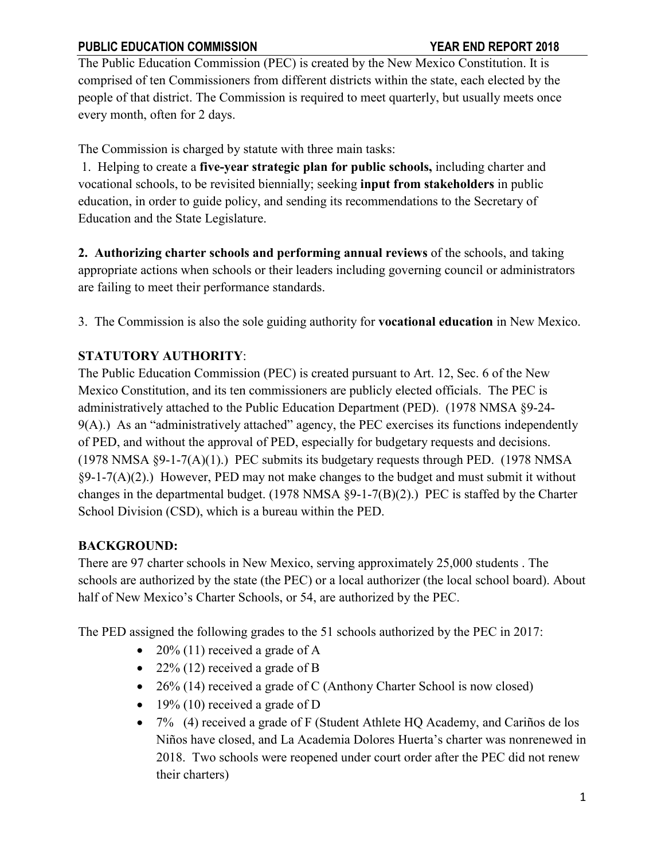The Public Education Commission (PEC) is created by the New Mexico Constitution. It is comprised of ten Commissioners from different districts within the state, each elected by the people of that district. The Commission is required to meet quarterly, but usually meets once every month, often for 2 days.

The Commission is charged by statute with three main tasks:

1. Helping to create a **five-year strategic plan for public schools,** including charter and vocational schools, to be revisited biennially; seeking **input from stakeholders** in public education, in order to guide policy, and sending its recommendations to the Secretary of Education and the State Legislature.

**2. Authorizing charter schools and performing annual reviews** of the schools, and taking appropriate actions when schools or their leaders including governing council or administrators are failing to meet their performance standards.

3. The Commission is also the sole guiding authority for **vocational education** in New Mexico.

# **STATUTORY AUTHORITY**:

The Public Education Commission (PEC) is created pursuant to Art. 12, Sec. 6 of the New Mexico Constitution, and its ten commissioners are publicly elected officials. The PEC is administratively attached to the Public Education Department (PED). (1978 NMSA §9-24- 9(A).) As an "administratively attached" agency, the PEC exercises its functions independently of PED, and without the approval of PED, especially for budgetary requests and decisions. (1978 NMSA §9-1-7(A)(1).) PEC submits its budgetary requests through PED. (1978 NMSA §9-1-7(A)(2).) However, PED may not make changes to the budget and must submit it without changes in the departmental budget. (1978 NMSA §9-1-7(B)(2).) PEC is staffed by the Charter School Division (CSD), which is a bureau within the PED.

# **BACKGROUND:**

There are 97 charter schools in New Mexico, serving approximately 25,000 students . The schools are authorized by the state (the PEC) or a local authorizer (the local school board). About half of New Mexico's Charter Schools, or 54, are authorized by the PEC.

The PED assigned the following grades to the 51 schools authorized by the PEC in 2017:

- 20% (11) received a grade of A
- 22% (12) received a grade of B
- 26% (14) received a grade of C (Anthony Charter School is now closed)
- 19% (10) received a grade of D
- 7% (4) received a grade of F (Student Athlete HQ Academy, and Cariños de los Niños have closed, and La Academia Dolores Huerta's charter was nonrenewed in 2018. Two schools were reopened under court order after the PEC did not renew their charters)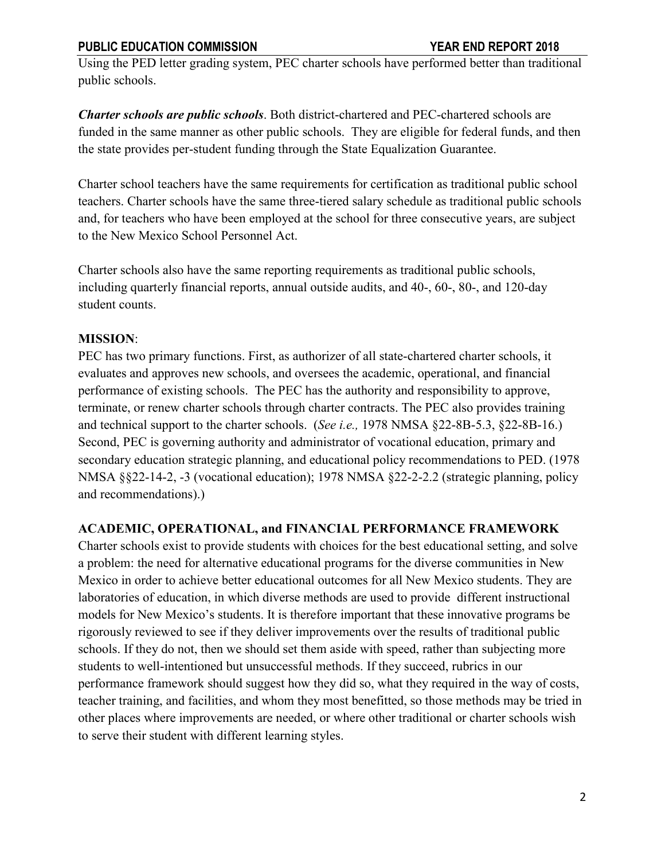Using the PED letter grading system, PEC charter schools have performed better than traditional public schools.

*Charter schools are public schools*. Both district-chartered and PEC-chartered schools are funded in the same manner as other public schools. They are eligible for federal funds, and then the state provides per-student funding through the State Equalization Guarantee.

Charter school teachers have the same requirements for certification as traditional public school teachers. Charter schools have the same three-tiered salary schedule as traditional public schools and, for teachers who have been employed at the school for three consecutive years, are subject to the New Mexico School Personnel Act.

Charter schools also have the same reporting requirements as traditional public schools, including quarterly financial reports, annual outside audits, and 40-, 60-, 80-, and 120-day student counts.

# **MISSION**:

PEC has two primary functions. First, as authorizer of all state-chartered charter schools, it evaluates and approves new schools, and oversees the academic, operational, and financial performance of existing schools. The PEC has the authority and responsibility to approve, terminate, or renew charter schools through charter contracts. The PEC also provides training and technical support to the charter schools. (*See i.e.,* 1978 NMSA §22-8B-5.3, §22-8B-16.) Second, PEC is governing authority and administrator of vocational education, primary and secondary education strategic planning, and educational policy recommendations to PED. (1978 NMSA §§22-14-2, -3 (vocational education); 1978 NMSA §22-2-2.2 (strategic planning, policy and recommendations).)

## **ACADEMIC, OPERATIONAL, and FINANCIAL PERFORMANCE FRAMEWORK**

Charter schools exist to provide students with choices for the best educational setting, and solve a problem: the need for alternative educational programs for the diverse communities in New Mexico in order to achieve better educational outcomes for all New Mexico students. They are laboratories of education, in which diverse methods are used to provide different instructional models for New Mexico's students. It is therefore important that these innovative programs be rigorously reviewed to see if they deliver improvements over the results of traditional public schools. If they do not, then we should set them aside with speed, rather than subjecting more students to well-intentioned but unsuccessful methods. If they succeed, rubrics in our performance framework should suggest how they did so, what they required in the way of costs, teacher training, and facilities, and whom they most benefitted, so those methods may be tried in other places where improvements are needed, or where other traditional or charter schools wish to serve their student with different learning styles.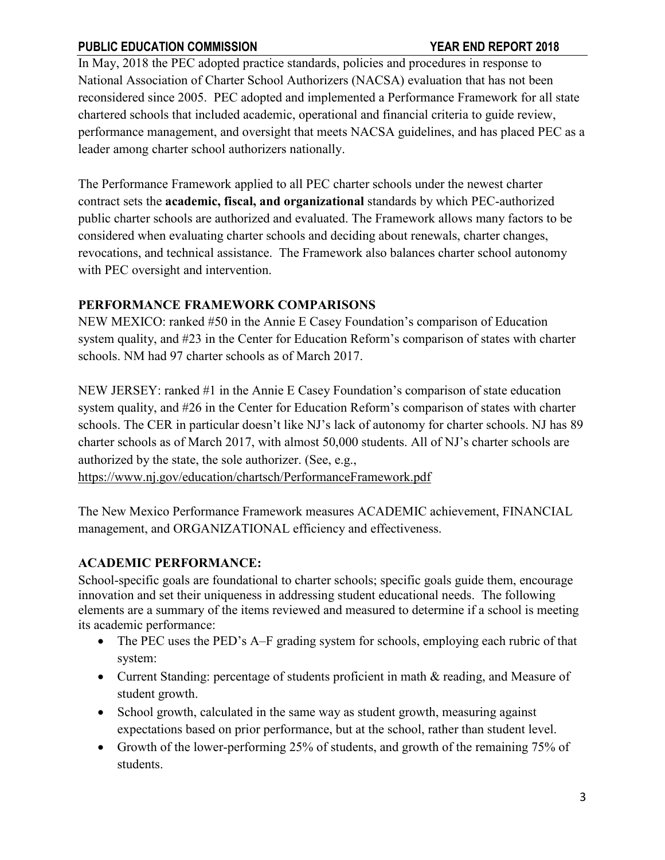In May, 2018 the PEC adopted practice standards, policies and procedures in response to National Association of Charter School Authorizers (NACSA) evaluation that has not been reconsidered since 2005. PEC adopted and implemented a Performance Framework for all state chartered schools that included academic, operational and financial criteria to guide review, performance management, and oversight that meets NACSA guidelines, and has placed PEC as a leader among charter school authorizers nationally.

The Performance Framework applied to all PEC charter schools under the newest charter contract sets the **academic, fiscal, and organizational** standards by which PEC-authorized public charter schools are authorized and evaluated. The Framework allows many factors to be considered when evaluating charter schools and deciding about renewals, charter changes, revocations, and technical assistance. The Framework also balances charter school autonomy with PEC oversight and intervention.

#### **PERFORMANCE FRAMEWORK COMPARISONS**

NEW MEXICO: ranked #50 in the Annie E Casey Foundation's comparison of Education system quality, and #23 in the Center for Education Reform's comparison of states with charter schools. NM had 97 charter schools as of March 2017.

NEW JERSEY: ranked #1 in the Annie E Casey Foundation's comparison of state education system quality, and #26 in the Center for Education Reform's comparison of states with charter schools. The CER in particular doesn't like NJ's lack of autonomy for charter schools. NJ has 89 charter schools as of March 2017, with almost 50,000 students. All of NJ's charter schools are authorized by the state, the sole authorizer. (See, e.g.,

<https://www.nj.gov/education/chartsch/PerformanceFramework.pdf>

The New Mexico Performance Framework measures ACADEMIC achievement, FINANCIAL management, and ORGANIZATIONAL efficiency and effectiveness.

## **ACADEMIC PERFORMANCE:**

School-specific goals are foundational to charter schools; specific goals guide them, encourage innovation and set their uniqueness in addressing student educational needs. The following elements are a summary of the items reviewed and measured to determine if a school is meeting its academic performance:

- The PEC uses the PED's A–F grading system for schools, employing each rubric of that system:
- Current Standing: percentage of students proficient in math & reading, and Measure of student growth.
- School growth, calculated in the same way as student growth, measuring against expectations based on prior performance, but at the school, rather than student level.
- Growth of the lower-performing 25% of students, and growth of the remaining 75% of students.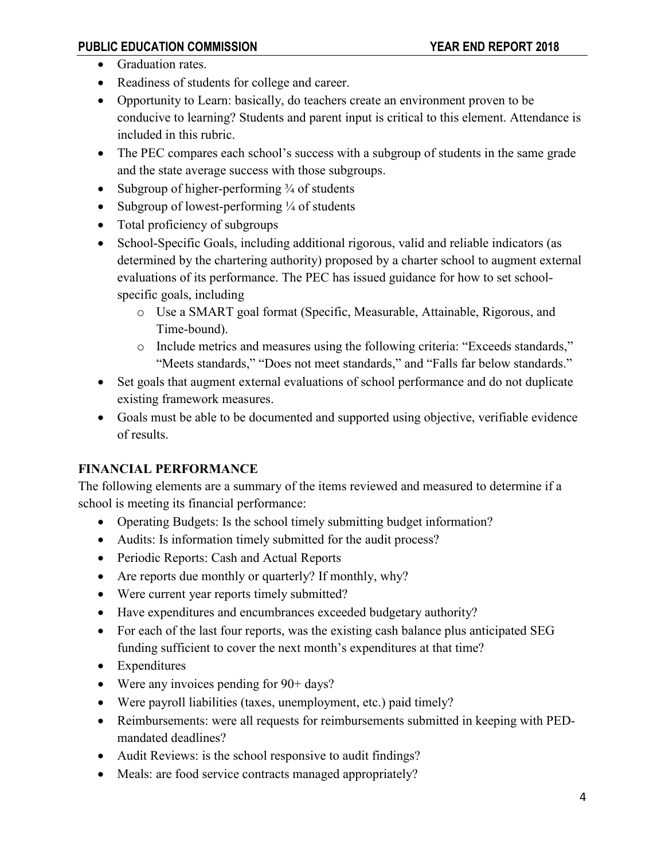- Graduation rates.
- Readiness of students for college and career.
- Opportunity to Learn: basically, do teachers create an environment proven to be conducive to learning? Students and parent input is critical to this element. Attendance is included in this rubric.
- The PEC compares each school's success with a subgroup of students in the same grade and the state average success with those subgroups.
- Subgroup of higher-performing  $\frac{3}{4}$  of students
- Subgroup of lowest-performing  $\frac{1}{4}$  of students
- Total proficiency of subgroups
- School-Specific Goals, including additional rigorous, valid and reliable indicators (as determined by the chartering authority) proposed by a charter school to augment external evaluations of its performance. The PEC has issued guidance for how to set schoolspecific goals, including
	- o Use a SMART goal format (Specific, Measurable, Attainable, Rigorous, and Time-bound).
	- o Include metrics and measures using the following criteria: "Exceeds standards," "Meets standards," "Does not meet standards," and "Falls far below standards."
- Set goals that augment external evaluations of school performance and do not duplicate existing framework measures.
- Goals must be able to be documented and supported using objective, verifiable evidence of results.

# **FINANCIAL PERFORMANCE**

The following elements are a summary of the items reviewed and measured to determine if a school is meeting its financial performance:

- Operating Budgets: Is the school timely submitting budget information?
- Audits: Is information timely submitted for the audit process?
- Periodic Reports: Cash and Actual Reports
- Are reports due monthly or quarterly? If monthly, why?
- Were current year reports timely submitted?
- Have expenditures and encumbrances exceeded budgetary authority?
- For each of the last four reports, was the existing cash balance plus anticipated SEG funding sufficient to cover the next month's expenditures at that time?
- Expenditures
- Were any invoices pending for 90+ days?
- Were payroll liabilities (taxes, unemployment, etc.) paid timely?
- Reimbursements: were all requests for reimbursements submitted in keeping with PEDmandated deadlines?
- Audit Reviews: is the school responsive to audit findings?
- Meals: are food service contracts managed appropriately?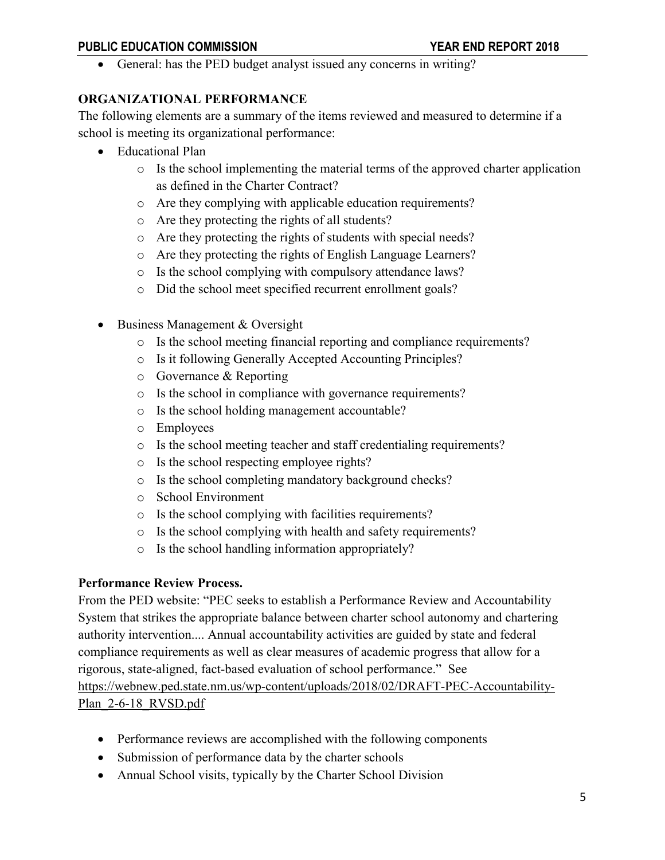• General: has the PED budget analyst issued any concerns in writing?

#### **ORGANIZATIONAL PERFORMANCE**

The following elements are a summary of the items reviewed and measured to determine if a school is meeting its organizational performance:

- Educational Plan
	- o Is the school implementing the material terms of the approved charter application as defined in the Charter Contract?
	- o Are they complying with applicable education requirements?
	- o Are they protecting the rights of all students?
	- o Are they protecting the rights of students with special needs?
	- o Are they protecting the rights of English Language Learners?
	- o Is the school complying with compulsory attendance laws?
	- o Did the school meet specified recurrent enrollment goals?
- Business Management & Oversight
	- o Is the school meeting financial reporting and compliance requirements?
	- o Is it following Generally Accepted Accounting Principles?
	- o Governance & Reporting
	- o Is the school in compliance with governance requirements?
	- o Is the school holding management accountable?
	- o Employees
	- o Is the school meeting teacher and staff credentialing requirements?
	- o Is the school respecting employee rights?
	- o Is the school completing mandatory background checks?
	- o School Environment
	- o Is the school complying with facilities requirements?
	- o Is the school complying with health and safety requirements?
	- o Is the school handling information appropriately?

#### **Performance Review Process.**

From the PED website: "PEC seeks to establish a Performance Review and Accountability System that strikes the appropriate balance between charter school autonomy and chartering authority intervention.... Annual accountability activities are guided by state and federal compliance requirements as well as clear measures of academic progress that allow for a rigorous, state-aligned, fact-based evaluation of school performance." See [https://webnew.ped.state.nm.us/wp-content/uploads/2018/02/DRAFT-PEC-Accountability-](https://webnew.ped.state.nm.us/wp-content/uploads/2018/02/DRAFT-PEC-Accountability-Plan_2-6-18_RVSD.pdf)Plan 2-6-18 RVSD.pdf

- Performance reviews are accomplished with the following components
- Submission of performance data by the charter schools
- Annual School visits, typically by the Charter School Division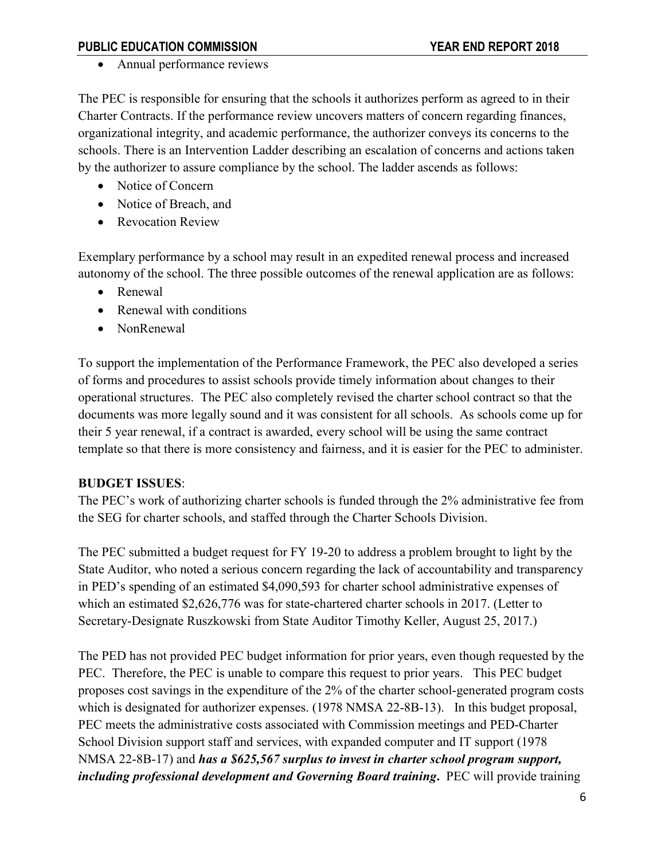• Annual performance reviews

The PEC is responsible for ensuring that the schools it authorizes perform as agreed to in their Charter Contracts. If the performance review uncovers matters of concern regarding finances, organizational integrity, and academic performance, the authorizer conveys its concerns to the schools. There is an Intervention Ladder describing an escalation of concerns and actions taken by the authorizer to assure compliance by the school. The ladder ascends as follows:

- Notice of Concern
- Notice of Breach, and
- Revocation Review

Exemplary performance by a school may result in an expedited renewal process and increased autonomy of the school. The three possible outcomes of the renewal application are as follows:

- Renewal
- Renewal with conditions
- NonRenewal

To support the implementation of the Performance Framework, the PEC also developed a series of forms and procedures to assist schools provide timely information about changes to their operational structures. The PEC also completely revised the charter school contract so that the documents was more legally sound and it was consistent for all schools. As schools come up for their 5 year renewal, if a contract is awarded, every school will be using the same contract template so that there is more consistency and fairness, and it is easier for the PEC to administer.

## **BUDGET ISSUES**:

The PEC's work of authorizing charter schools is funded through the 2% administrative fee from the SEG for charter schools, and staffed through the Charter Schools Division.

The PEC submitted a budget request for FY 19-20 to address a problem brought to light by the State Auditor, who noted a serious concern regarding the lack of accountability and transparency in PED's spending of an estimated \$4,090,593 for charter school administrative expenses of which an estimated \$2,626,776 was for state-chartered charter schools in 2017. (Letter to Secretary-Designate Ruszkowski from State Auditor Timothy Keller, August 25, 2017.)

The PED has not provided PEC budget information for prior years, even though requested by the PEC. Therefore, the PEC is unable to compare this request to prior years. This PEC budget proposes cost savings in the expenditure of the 2% of the charter school-generated program costs which is designated for authorizer expenses. (1978 NMSA 22-8B-13). In this budget proposal, PEC meets the administrative costs associated with Commission meetings and PED-Charter School Division support staff and services, with expanded computer and IT support (1978 NMSA 22-8B-17) and *has a \$625,567 surplus to invest in charter school program support, including professional development and Governing Board training***.** PEC will provide training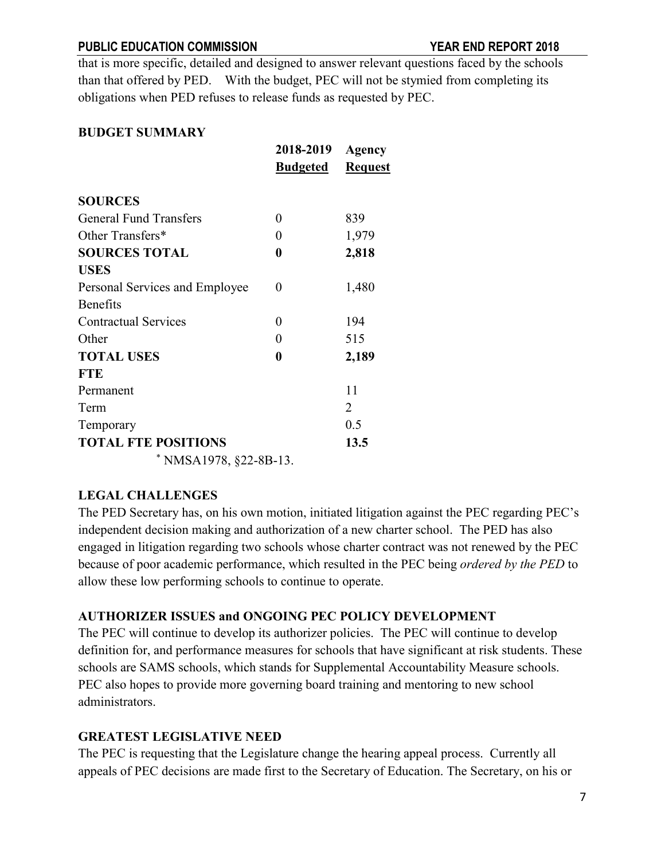that is more specific, detailed and designed to answer relevant questions faced by the schools than that offered by PED. With the budget, PEC will not be stymied from completing its obligations when PED refuses to release funds as requested by PEC.

#### **BUDGET SUMMARY**

|                                | 2018-2019<br><b>Budgeted</b> | Agency<br><b>Request</b> |
|--------------------------------|------------------------------|--------------------------|
|                                |                              |                          |
| <b>SOURCES</b>                 |                              |                          |
| <b>General Fund Transfers</b>  | 0                            | 839                      |
| Other Transfers*               | 0                            | 1,979                    |
| <b>SOURCES TOTAL</b>           | 0                            | 2,818                    |
| <b>USES</b>                    |                              |                          |
| Personal Services and Employee | 0                            | 1,480                    |
| <b>Benefits</b>                |                              |                          |
| <b>Contractual Services</b>    | 0                            | 194                      |
| Other                          | 0                            | 515                      |
| <b>TOTAL USES</b>              | 0                            | 2,189                    |
| <b>FTE</b>                     |                              |                          |
| Permanent                      |                              | 11                       |
| Term                           |                              | 2                        |
| Temporary                      |                              | 0.5                      |
| <b>TOTAL FTE POSITIONS</b>     |                              | 13.5                     |
| * NMSA1978, $§22-8B-13$ .      |                              |                          |

## **LEGAL CHALLENGES**

The PED Secretary has, on his own motion, initiated litigation against the PEC regarding PEC's independent decision making and authorization of a new charter school. The PED has also engaged in litigation regarding two schools whose charter contract was not renewed by the PEC because of poor academic performance, which resulted in the PEC being *ordered by the PED* to allow these low performing schools to continue to operate.

## **AUTHORIZER ISSUES and ONGOING PEC POLICY DEVELOPMENT**

The PEC will continue to develop its authorizer policies. The PEC will continue to develop definition for, and performance measures for schools that have significant at risk students. These schools are SAMS schools, which stands for Supplemental Accountability Measure schools. PEC also hopes to provide more governing board training and mentoring to new school administrators.

## **GREATEST LEGISLATIVE NEED**

The PEC is requesting that the Legislature change the hearing appeal process. Currently all appeals of PEC decisions are made first to the Secretary of Education. The Secretary, on his or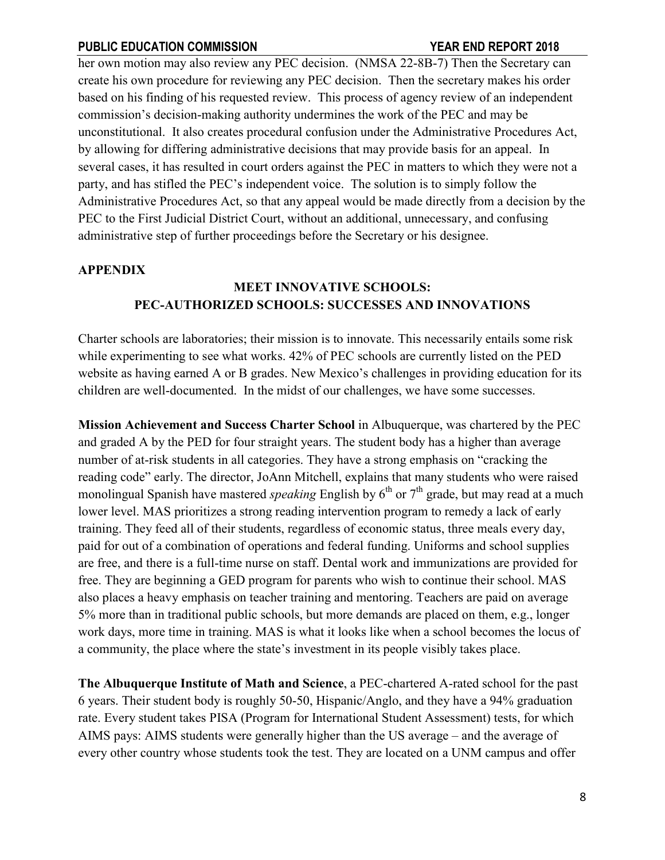her own motion may also review any PEC decision. (NMSA 22-8B-7) Then the Secretary can create his own procedure for reviewing any PEC decision. Then the secretary makes his order based on his finding of his requested review. This process of agency review of an independent commission's decision-making authority undermines the work of the PEC and may be unconstitutional. It also creates procedural confusion under the Administrative Procedures Act, by allowing for differing administrative decisions that may provide basis for an appeal. In several cases, it has resulted in court orders against the PEC in matters to which they were not a party, and has stifled the PEC's independent voice. The solution is to simply follow the Administrative Procedures Act, so that any appeal would be made directly from a decision by the PEC to the First Judicial District Court, without an additional, unnecessary, and confusing administrative step of further proceedings before the Secretary or his designee.

#### **APPENDIX**

# **MEET INNOVATIVE SCHOOLS: PEC-AUTHORIZED SCHOOLS: SUCCESSES AND INNOVATIONS**

Charter schools are laboratories; their mission is to innovate. This necessarily entails some risk while experimenting to see what works. 42% of PEC schools are currently listed on the PED website as having earned A or B grades. New Mexico's challenges in providing education for its children are well-documented. In the midst of our challenges, we have some successes.

**Mission Achievement and Success Charter School** in Albuquerque, was chartered by the PEC and graded A by the PED for four straight years. The student body has a higher than average number of at-risk students in all categories. They have a strong emphasis on "cracking the reading code" early. The director, JoAnn Mitchell, explains that many students who were raised monolingual Spanish have mastered *speaking* English by 6<sup>th</sup> or 7<sup>th</sup> grade, but may read at a much lower level. MAS prioritizes a strong reading intervention program to remedy a lack of early training. They feed all of their students, regardless of economic status, three meals every day, paid for out of a combination of operations and federal funding. Uniforms and school supplies are free, and there is a full-time nurse on staff. Dental work and immunizations are provided for free. They are beginning a GED program for parents who wish to continue their school. MAS also places a heavy emphasis on teacher training and mentoring. Teachers are paid on average 5% more than in traditional public schools, but more demands are placed on them, e.g., longer work days, more time in training. MAS is what it looks like when a school becomes the locus of a community, the place where the state's investment in its people visibly takes place.

**The Albuquerque Institute of Math and Science**, a PEC-chartered A-rated school for the past 6 years. Their student body is roughly 50-50, Hispanic/Anglo, and they have a 94% graduation rate. Every student takes PISA (Program for International Student Assessment) tests, for which AIMS pays: AIMS students were generally higher than the US average – and the average of every other country whose students took the test. They are located on a UNM campus and offer